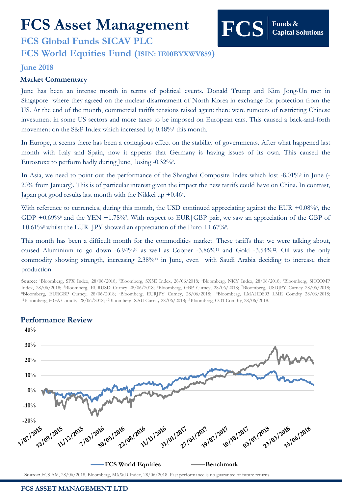# **FCS Asset Management**

# **FCS Global Funds SICAV PLC FCS World Equities Fund (ISIN: IE00BYXWV859)**

### **June 2018**

#### **Market Commentary**

June has been an intense month in terms of political events. Donald Trump and Kim Jong-Un met in Singapore where they agreed on the nuclear disarmament of North Korea in exchange for protection from the US. At the end of the month, commercial tariffs tensions raised again: there were rumours of restricting Chinese investment in some US sectors and more taxes to be imposed on European cars. This caused a back-and-forth movement on the S&P Index which increased by 0.48%<sup>1</sup> this month.

**Funds &** 

**Capital Solutions**

In Europe, it seems there has been a contagious effect on the stability of governments. After what happened last month with Italy and Spain, now it appears that Germany is having issues of its own. This caused the Eurostoxx to perform badly during June, losing -0.32%?.

In Asia, we need to point out the performance of the Shanghai Composite Index which lost -8.01%3 in June (-20% from January). This is of particular interest given the impact the new tarrifs could have on China. In contrast, Japan got good results last month with the Nikkei up +0.464.

With reference to currencies, during this month, the USD continued appreciating against the EUR +0.08%<sup>5</sup>, the GDP +0.69% and the YEN +1.78%7. With respect to EUR GBP pair, we saw an appreciation of the GBP of +0.61% whilst the EUR | JPY showed an appreciation of the Euro +1.67%.

This month has been a difficult month for the commodities market. These tariffs that we were talking about, caused Aluminium to go down -6.94%<sup>10</sup> as well as Cooper -3.86%<sup>11</sup> and Gold -3.54%<sup>12</sup>. Oil was the only commodity showing strength, increasing 2.38%<sup>13</sup> in June, even with Saudi Arabia deciding to increase their production.

**Source:** <sup>1</sup>Bloomberg, SPX Index, 28/06/2018; <sup>2</sup>Bloomberg, SX5E Index, 28/06/2018; <sup>3</sup>Bloomberg, NKY Index, 28/06/2018; <sup>4</sup>Bloomberg, SHCOMP Index, 28/06/2018; <sup>5</sup>Bloomberg, EURUSD Curncy 28/06/2018; <sup>6</sup>Bloomberg, GBP Curncy, 28/06/2018; <sup>7</sup>Bloomberg, USDJPY Curncy 28/06/2018; <sup>8</sup>Bloomberg, EURGBP Curncy, 28/06/2018; <sup>9</sup>Bloomberg, EURJPY Curncy, 28/06/2018; <sup>10</sup>Bloomberg, LMAHDS03 LME Comdty 28/06/2018; <sup>11</sup>Bloomberg, HGA Comdty, 28/06/2018; <sup>12</sup>Bloomberg, XAU Curncy 28/06/2018; <sup>13</sup>Bloomberg, CO1 Comdty, 28/06/2018.



# **Performance Review**

**Source:** FCS AM, 28/06/2018, Bloomberg, MXWD Index, 28/06/2018. Past performance is no guarantee of future returns.

#### **FCS ASSET MANAGEMENT LTD**